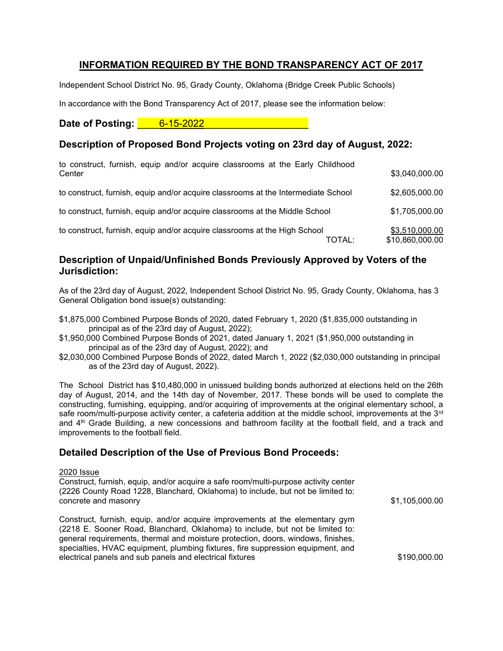# INFORMATION REQUIRED BY THE BOND TRANSPARENCY ACT OF 2017

Independent School District No. 95, Grady County, Oklahoma (Bridge Creek Public Schools)

In accordance with the Bond Transparency Act of 2017, please see the information below:

Date of Posting: **2008** 6-15-2022

# Description of Proposed Bond Projects voting on 23rd day of August, 2022:

| to construct, furnish, equip and/or acquire classrooms at the Early Childhood<br>Center | \$3,040,000.00                    |
|-----------------------------------------------------------------------------------------|-----------------------------------|
| to construct, furnish, equip and/or acquire classrooms at the Intermediate School       | \$2,605,000.00                    |
| to construct, furnish, equip and/or acquire classrooms at the Middle School             | \$1,705,000.00                    |
| to construct, furnish, equip and/or acquire classrooms at the High School<br>TOTAL:     | \$3,510,000.00<br>\$10,860,000.00 |

### Description of Unpaid/Unfinished Bonds Previously Approved by Voters of the Jurisdiction:

As of the 23rd day of August, 2022, Independent School District No. 95, Grady County, Oklahoma, has 3 General Obligation bond issue(s) outstanding:

- \$1,875,000 Combined Purpose Bonds of 2020, dated February 1, 2020 (\$1,835,000 outstanding in principal as of the 23rd day of August, 2022);
- \$1,950,000 Combined Purpose Bonds of 2021, dated January 1, 2021 (\$1,950,000 outstanding in principal as of the 23rd day of August, 2022); and
- \$2,030,000 Combined Purpose Bonds of 2022, dated March 1, 2022 (\$2,030,000 outstanding in principal as of the 23rd day of August, 2022).

The School District has \$10,480,000 in unissued building bonds authorized at elections held on the 26th day of August, 2014, and the 14th day of November, 2017. These bonds will be used to complete the constructing, furnishing, equipping, and/or acquiring of improvements at the original elementary school, a safe room/multi-purpose activity center, a cafeteria addition at the middle school, improvements at the 3<sup>rd</sup> and 4th Grade Building, a new concessions and bathroom facility at the football field, and a track and improvements to the football field.

## Detailed Description of the Use of Previous Bond Proceeds:

#### 2020 Issue

Construct, furnish, equip, and/or acquire a safe room/multi-purpose activity center (2226 County Road 1228, Blanchard, Oklahoma) to include, but not be limited to: concrete and masonry  $$1,105,000.00$ 

Construct, furnish, equip, and/or acquire improvements at the elementary gym (2218 E. Sooner Road, Blanchard, Oklahoma) to include, but not be limited to: general requirements, thermal and moisture protection, doors, windows, finishes, specialties, HVAC equipment, plumbing fixtures, fire suppression equipment, and electrical panels and sub panels and electrical fixtures  $$190.000.00$